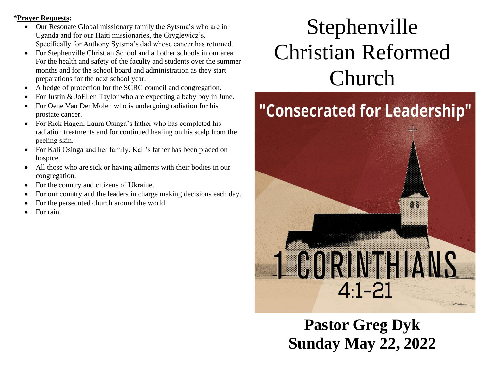#### **\*Prayer Requests:**

- Our Resonate Global missionary family the Sytsma's who are in Uganda and for our Haiti missionaries, the Gryglewicz's. Specifically for Anthony Sytsma's dad whose cancer has returned.
- For Stephenville Christian School and all other schools in our area. For the health and safety of the faculty and students over the summer months and for the school board and administration as they start preparations for the next school year.
- A hedge of protection for the SCRC council and congregation.
- For Justin & JoEllen Taylor who are expecting a baby boy in June.
- For Oene Van Der Molen who is undergoing radiation for his prostate cancer.
- For Rick Hagen, Laura Osinga's father who has completed his radiation treatments and for continued healing on his scalp from the peeling skin.
- For Kali Osinga and her family. Kali's father has been placed on hospice.
- All those who are sick or having ailments with their bodies in our congregation.
- For the country and citizens of Ukraine.
- For our country and the leaders in charge making decisions each day.
- For the persecuted church around the world.
- For rain.

# Stephenville Christian Reformed Church



**Pastor Greg Dyk Sunday May 22, 2022**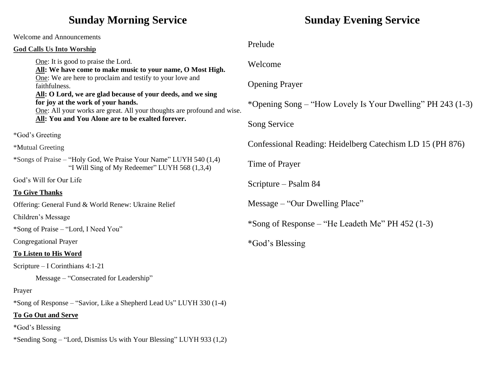# **Sunday Morning Service**

Welcome and Announcements **God Calls Us Into Worship** One: It is good to praise the Lord. **All: We have come to make music to your name, O Most High.** One: We are here to proclaim and testify to your love and faithfulness. **All: O Lord, we are glad because of your deeds, and we sing for joy at the work of your hands.** One: All your works are great. All your thoughts are profound and wise. **All: You and You Alone are to be exalted forever.** \*God's Greeting \*Mutual Greeting \*Songs of Praise – "Holy God, We Praise Your Name" LUYH 540 (1,4) "I Will Sing of My Redeemer" LUYH 568 (1,3,4) God's Will for Our Life **To Give Thanks** Offering: General Fund & World Renew: Ukraine Relief Children's Message \*Song of Praise – "Lord, I Need You" Congregational Prayer **To Listen to His Word** Scripture – I Corinthians 4:1-21 Message – "Consecrated for Leadership" Prayer \*Song of Response – "Savior, Like a Shepherd Lead Us" LUYH 330 (1-4) **To Go Out and Serve** \*God's Blessing \*Sending Song – "Lord, Dismiss Us with Your Blessing" LUYH 933 (1,2) Prelude Welcome Opening Prayer \*Opening Song – "How Lovely Is Your Dwelling" PH 243 (1-3) Song Service Confessional Reading: Heidelberg Catechism LD 15 (PH 876) Time of Prayer Scripture – Psalm 84 Message – "Our Dwelling Place" \*Song of Response – "He Leadeth Me" PH 452 (1-3) \*God's Blessing

**Sunday Evening Service**